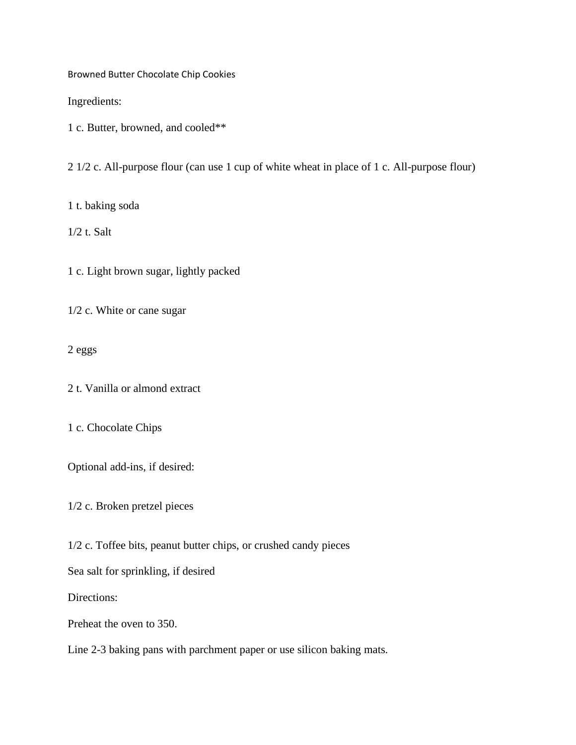Browned Butter Chocolate Chip Cookies

Ingredients:

1 c. Butter, browned, and cooled\*\*

2 1/2 c. All-purpose flour (can use 1 cup of white wheat in place of 1 c. All-purpose flour)

1 t. baking soda

1/2 t. Salt

1 c. Light brown sugar, lightly packed

1/2 c. White or cane sugar

2 eggs

2 t. Vanilla or almond extract

1 c. Chocolate Chips

Optional add-ins, if desired:

1/2 c. Broken pretzel pieces

1/2 c. Toffee bits, peanut butter chips, or crushed candy pieces

Sea salt for sprinkling, if desired

Directions:

Preheat the oven to 350.

Line 2-3 baking pans with parchment paper or use silicon baking mats.